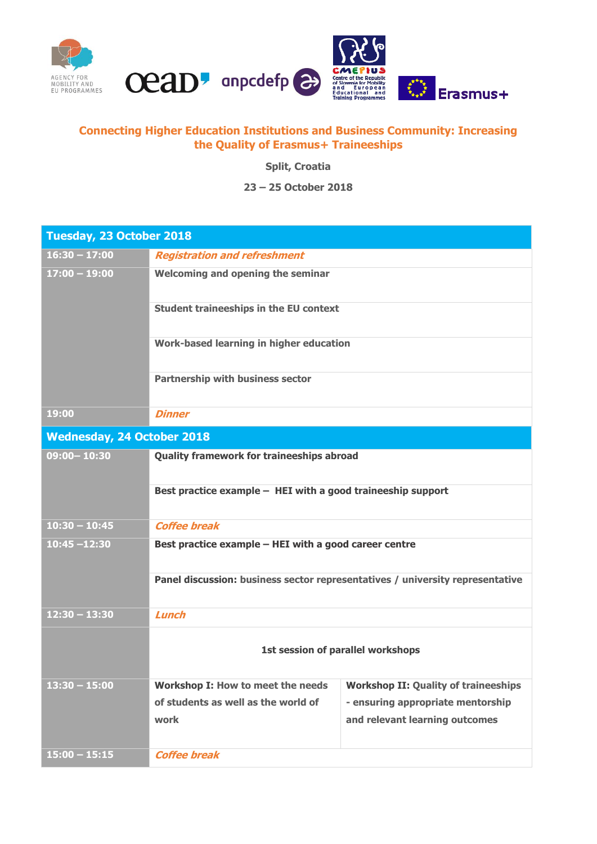



## **Connecting Higher Education Institutions and Business Community: Increasing the Quality of Erasmus+ Traineeships**

**Split, Croatia**

**23 – 25 October 2018**

| Tuesday, 23 October 2018          |                                                                                                                 |                                                                     |  |
|-----------------------------------|-----------------------------------------------------------------------------------------------------------------|---------------------------------------------------------------------|--|
| $16:30 - 17:00$                   | <b>Registration and refreshment</b>                                                                             |                                                                     |  |
| $17:00 - 19:00$                   | Welcoming and opening the seminar                                                                               |                                                                     |  |
|                                   | <b>Student traineeships in the EU context</b>                                                                   |                                                                     |  |
|                                   | Work-based learning in higher education                                                                         |                                                                     |  |
|                                   | Partnership with business sector                                                                                |                                                                     |  |
| 19:00                             | <b>Dinner</b>                                                                                                   |                                                                     |  |
| <b>Wednesday, 24 October 2018</b> |                                                                                                                 |                                                                     |  |
| $09:00 - 10:30$                   | <b>Quality framework for traineeships abroad</b><br>Best practice example - HEI with a good traineeship support |                                                                     |  |
|                                   |                                                                                                                 |                                                                     |  |
| $10:30 - 10:45$                   | <b>Coffee break</b>                                                                                             |                                                                     |  |
| $10:45 - 12:30$                   | Best practice example - HEI with a good career centre                                                           |                                                                     |  |
|                                   | Panel discussion: business sector representatives / university representative                                   |                                                                     |  |
| $12:30 - 13:30$                   | Lunch                                                                                                           |                                                                     |  |
|                                   | 1st session of parallel workshops                                                                               |                                                                     |  |
| $13:30 - 15:00$                   | Workshop I: How to meet the needs                                                                               | <b>Workshop II: Quality of traineeships</b>                         |  |
|                                   | of students as well as the world of<br>work                                                                     | - ensuring appropriate mentorship<br>and relevant learning outcomes |  |
| $15:00 - 15:15$                   | <b>Coffee break</b>                                                                                             |                                                                     |  |